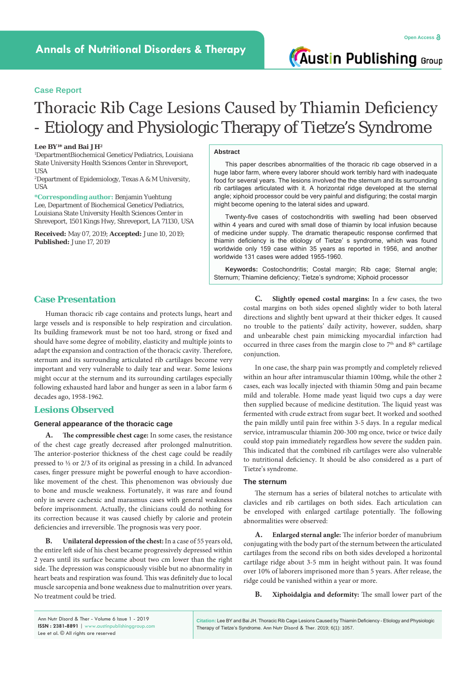# **Case Report**

# Thoracic Rib Cage Lesions Caused by Thiamin Deficiency - Etiology and Physiologic Therapy of Tietze's Syndrome

#### **Lee BY1 \* and Bai JH2**

1 DepartmentBiochemical Genetics/Pediatrics, Louisiana State University Health Sciences Center in Shreveport, USA

2 Department of Epidemiology, Texas A & M University, **IISA** 

**\*Corresponding author:** Benjamin Yuehtung Lee, Department of Biochemical Genetics/Pediatrics, Louisiana State University Health Sciences Center in Shreveport, 1501 Kings Hwy, Shreveport, LA 71130, USA

**Received:** May 07, 2019; **Accepted:** June 10, 2019; **Published:** June 17, 2019

### **Abstract**

This paper describes abnormalities of the thoracic rib cage observed in a huge labor farm, where every laborer should work terribly hard with inadequate food for several years. The lesions involved the the sternum and its surrounding rib cartilages articulated with it. A horizontal ridge developed at the sternal angle; xiphoid processor could be very painful and disfiguring; the costal margin might become opening to the lateral sides and upward.

Twenty-five cases of costochondritis with swelling had been observed within 4 years and cured with small dose of thiamin by local infusion because of medicine under supply. The dramatic therapeutic response confirmed that thiamin deficiency is the etiology of Tietze' s syndrome, which was found worldwide only 159 case within 35 years as reported in 1956, and another worldwide 131 cases were added 1955-1960.

**Keywords:** Costochondritis; Costal margin; Rib cage; Sternal angle; Sternum; Thiamine deficiency; Tietze's syndrome; Xiphoid processor

# **Case Presentation**

Human thoracic rib cage contains and protects lungs, heart and large vessels and is responsible to help respiration and circulation. Its building framework must be not too hard, strong or fixed and should have some degree of mobility, elasticity and multiple joints to adapt the expansion and contraction of the thoracic cavity. Therefore, sternum and its surrounding articulated rib cartilages become very important and very vulnerable to daily tear and wear. Some lesions might occur at the sternum and its surrounding cartilages especially following exhausted hard labor and hunger as seen in a labor farm 6 decades ago, 1958-1962.

### **Lesions Observed**

#### **General appearance of the thoracic cage**

**A. The compressible chest cage:** In some cases, the resistance of the chest cage greatly decreased after prolonged malnutrition. The anterior-posterior thickness of the chest cage could be readily pressed to ½ or 2/3 of its original as pressing in a child. In advanced cases, finger pressure might be powerful enough to have accordionlike movement of the chest. This phenomenon was obviously due to bone and muscle weakness. Fortunately, it was rare and found only in severe cachexic and marasmus cases with general weakness before imprisonment. Actually, the clinicians could do nothing for its correction because it was caused chiefly by calorie and protein deficiencies and irreversible. The prognosis was very poor.

**B. Unilateral depression of the chest:** In a case of 55 years old, the entire left side of his chest became progressively depressed within 2 years until its surface became about two cm lower than the right side. The depression was conspicuously visible but no abnormality in heart beats and respiration was found. This was definitely due to local muscle sarcopenia and bone weakness due to malnutrition over years. No treatment could be tried.

**C. Slightly opened costal margins:** In a few cases, the two costal margins on both sides opened slightly wider to both lateral directions and slightly bent upward at their thicker edges. It caused no trouble to the patients' daily activity, however, sudden, sharp and unbearable chest pain mimicking myocardial infarction had occurred in three cases from the margin close to  $7<sup>th</sup>$  and  $8<sup>th</sup>$  cartilage conjunction.

In one case, the sharp pain was promptly and completely relieved within an hour after intramuscular thiamin 100mg, while the other 2 cases, each was locally injected with thiamin 50mg and pain became mild and tolerable. Home made yeast liquid two cups a day were then supplied because of medicine destitution. The liquid yeast was fermented with crude extract from sugar beet. It worked and soothed the pain mildly until pain free within 3-5 days. In a regular medical service, intramuscular thiamin 200-300 mg once, twice or twice daily could stop pain immediately regardless how severe the sudden pain. This indicated that the combined rib cartilages were also vulnerable to nutritional deficiency. It should be also considered as a part of Tietze's syndrome.

#### **The sternum**

The sternum has a series of bilateral notches to articulate with clavicles and rib cartilages on both sides. Each articulation can be enveloped with enlarged cartilage potentially. The following abnormalities were observed:

**A. Enlarged sternal angle:** The inferior border of manubrium conjugating with the body part of the sternum between the articulated cartilages from the second ribs on both sides developed a horizontal cartilage ridge about 3-5 mm in height without pain. It was found over 10% of laborers imprisoned more than 5 years. After release, the ridge could be vanished within a year or more.

**B. Xiphoidalgia and deformity:** The small lower part of the

**Citation:** Lee BY and Bai JH. Thoracic Rib Cage Lesions Caused by Thiamin Deficiency - Etiology and Physiologic Therapy of Tietze's Syndrome. Ann Nutr Disord & Ther. 2019; 6(1): 1057.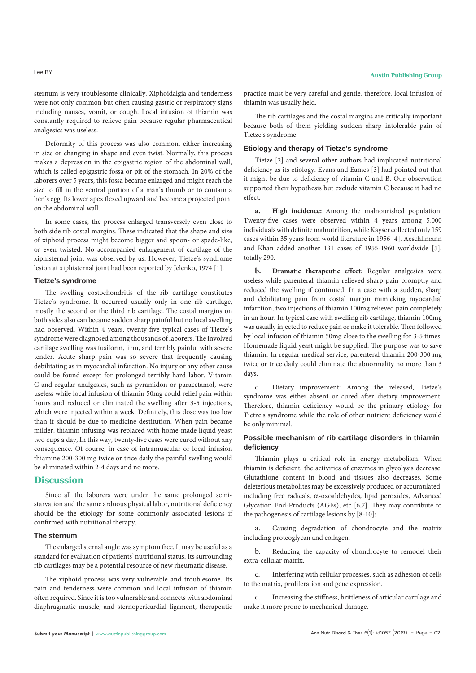sternum is very troublesome clinically. Xiphoidalgia and tenderness were not only common but often causing gastric or respiratory signs including nausea, vomit, or cough. Local infusion of thiamin was constantly required to relieve pain because regular pharmaceutical analgesics was useless.

Deformity of this process was also common, either increasing in size or changing in shape and even twist. Normally, this process makes a depression in the epigastric region of the abdominal wall, which is called epigastric fossa or pit of the stomach. In 20% of the laborers over 5 years, this fossa became enlarged and might reach the size to fill in the ventral portion of a man's thumb or to contain a hen's egg. Its lower apex flexed upward and become a projected point on the abdominal wall.

In some cases, the process enlarged transversely even close to both side rib costal margins. These indicated that the shape and size of xiphoid process might become bigger and spoon- or spade-like, or even twisted. No accompanied enlargement of cartilage of the xiphisternal joint was observed by us. However, Tietze's syndrome lesion at xiphisternal joint had been reported by Jelenko, 1974 [1].

#### **Tietze's syndrome**

The swelling costochondritis of the rib cartilage constitutes Tietze's syndrome. It occurred usually only in one rib cartilage, mostly the second or the third rib cartilage. The costal margins on both sides also can became sudden sharp painful but no local swelling had observed. Within 4 years, twenty-five typical cases of Tietze's syndrome were diagnosed among thousands of laborers. The involved cartilage swelling was fusiform, firm, and terribly painful with severe tender. Acute sharp pain was so severe that frequently causing debilitating as in myocardial infarction. No injury or any other cause could be found except for prolonged terribly hard labor. Vitamin C and regular analgesics, such as pyramidon or paracetamol, were useless while local infusion of thiamin 50mg could relief pain within hours and reduced or eliminated the swelling after 3-5 injections, which were injected within a week. Definitely, this dose was too low than it should be due to medicine destitution. When pain became milder, thiamin infusing was replaced with home-made liquid yeast two cups a day, In this way, twenty-five cases were cured without any consequence. Of course, in case of intramuscular or local infusion thiamine 200-300 mg twice or trice daily the painful swelling would be eliminated within 2-4 days and no more.

# **Discussion**

Since all the laborers were under the same prolonged semistarvation and the same arduous physical labor, nutritional deficiency should be the etiology for some commonly associated lesions if confirmed with nutritional therapy.

#### **The sternum**

The enlarged sternal angle was symptom free. It may be useful as a standard for evaluation of patients' nutritional status. Its surrounding rib cartilages may be a potential resource of new rheumatic disease.

The xiphoid process was very vulnerable and troublesome. Its pain and tenderness were common and local infusion of thiamin often required. Since it is too vulnerable and connects with abdominal diaphragmatic muscle, and sternopericardial ligament, therapeutic practice must be very careful and gentle, therefore, local infusion of thiamin was usually held.

The rib cartilages and the costal margins are critically important because both of them yielding sudden sharp intolerable pain of Tietze's syndrome.

#### **Etiology and therapy of Tietze's syndrome**

Tietze [2] and several other authors had implicated nutritional deficiency as its etiology. Evans and Eames [3] had pointed out that it might be due to deficiency of vitamin C and B. Our observation supported their hypothesis but exclude vitamin C because it had no effect.

**a. High incidence:** Among the malnourished population: Twenty-five cases were observed within 4 years among 5,000 individuals with definite malnutrition, while Kayser collected only 159 cases within 35 years from world literature in 1956 [4]. Aeschlimann and Khan added another 131 cases of 1955-1960 worldwide [5], totally 290.

**b. Dramatic therapeutic effect:** Regular analgesics were useless while parenteral thiamin relieved sharp pain promptly and reduced the swelling if continued. In a case with a sudden, sharp and debilitating pain from costal margin mimicking myocardial infarction, two injections of thiamin 100mg relieved pain completely in an hour. In typical case with swelling rib cartilage, thiamin 100mg was usually injected to reduce pain or make it tolerable. Then followed by local infusion of thiamin 50mg close to the swelling for 3-5 times. Homemade liquid yeast might be supplied. The purpose was to save thiamin. In regular medical service, parenteral thiamin 200-300 mg twice or trice daily could eliminate the abnormality no more than 3 days.

c. Dietary improvement: Among the released, Tietze's syndrome was either absent or cured after dietary improvement. Therefore, thiamin deficiency would be the primary etiology for Tietze's syndrome while the role of other nutrient deficiency would be only minimal.

## **Possible mechanism of rib cartilage disorders in thiamin deficiency**

Thiamin plays a critical role in energy metabolism. When thiamin is deficient, the activities of enzymes in glycolysis decrease. Glutathione content in blood and tissues also decreases. Some deleterious metabolites may be excessively produced or accumulated, including free radicals, α-oxoaldehydes, lipid peroxides, Advanced Glycation End-Products (AGEs), etc [6,7]. They may contribute to the pathogenesis of cartilage lesions by [8-10]:

a. Causing degradation of chondrocyte and the matrix including proteoglycan and collagen.

b. Reducing the capacity of chondrocyte to remodel their extra-cellular matrix.

c. Interfering with cellular processes, such as adhesion of cells to the matrix, proliferation and gene expression.

d. Increasing the stiffness, brittleness of articular cartilage and make it more prone to mechanical damage.